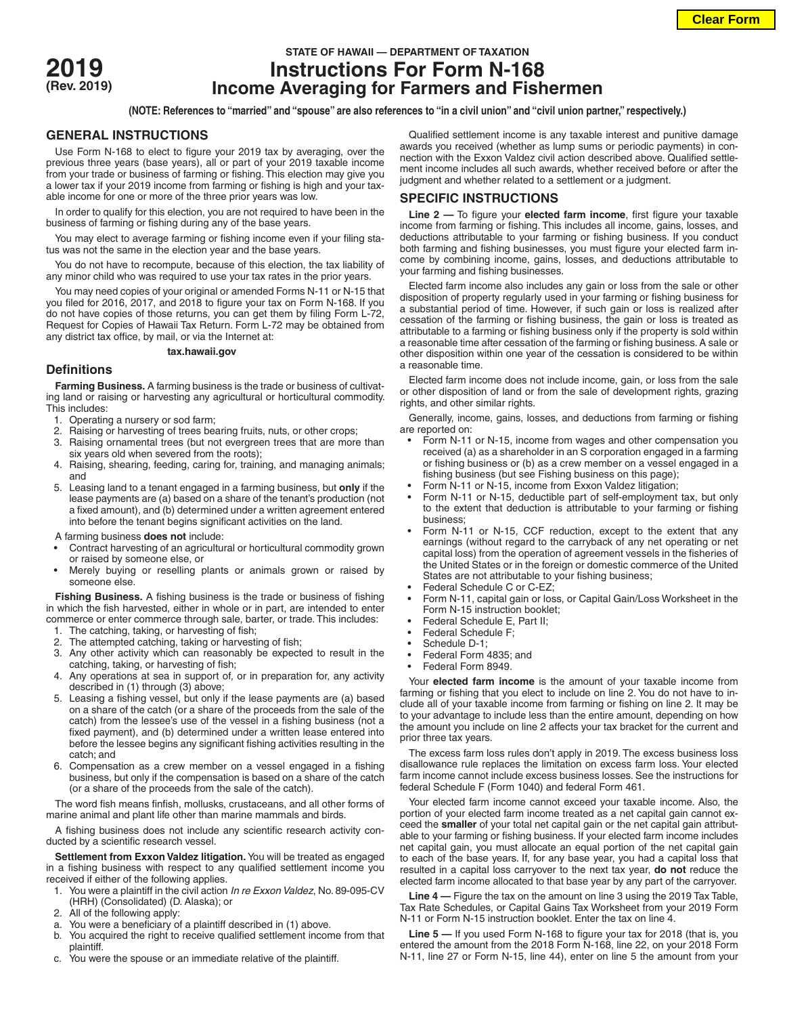

# **STATE OF HAWAII — DEPARTMENT OF TAXATION 2019 Instructions For Form N-168 (Rev. 2019) Income Averaging for Farmers and Fishermen**

**(NOTE: References to "married" and "spouse" are also references to "in a civil union" and "civil union partner," respectively.)**

### **GENERAL INSTRUCTIONS**

Use Form N-168 to elect to figure your 2019 tax by averaging, over the previous three years (base years), all or part of your 2019 taxable income from your trade or business of farming or fishing. This election may give you a lower tax if your 2019 income from farming or fishing is high and your taxable income for one or more of the three prior years was low.

In order to qualify for this election, you are not required to have been in the business of farming or fishing during any of the base years.

You may elect to average farming or fishing income even if your filing status was not the same in the election year and the base years.

You do not have to recompute, because of this election, the tax liability of any minor child who was required to use your tax rates in the prior years.

You may need copies of your original or amended Forms N-11 or N-15 that you filed for 2016, 2017, and 2018 to figure your tax on Form N-168. If you do not have copies of those returns, you can get them by filing Form L-72, Request for Copies of Hawaii Tax Return. Form L-72 may be obtained from any district tax office, by mail, or via the Internet at:

#### **tax.hawaii.gov**

## **Definitions**

**Farming Business.** A farming business is the trade or business of cultivating land or raising or harvesting any agricultural or horticultural commodity. This includes:

- 1. Operating a nursery or sod farm;
- 2. Raising or harvesting of trees bearing fruits, nuts, or other crops;
- Raising ornamental trees (but not evergreen trees that are more than six years old when severed from the roots);
- 4. Raising, shearing, feeding, caring for, training, and managing animals; and
- 5. Leasing land to a tenant engaged in a farming business, but **only** if the lease payments are (a) based on a share of the tenant's production (not a fixed amount), and (b) determined under a written agreement entered into before the tenant begins significant activities on the land.
- A farming business **does not** include:
- Contract harvesting of an agricultural or horticultural commodity grown or raised by someone else, or
- Merely buying or reselling plants or animals grown or raised by someone else.

**Fishing Business.** A fishing business is the trade or business of fishing in which the fish harvested, either in whole or in part, are intended to enter commerce or enter commerce through sale, barter, or trade. This includes:

- 1. The catching, taking, or harvesting of fish;
- The attempted catching, taking or harvesting of fish;
- 3. Any other activity which can reasonably be expected to result in the catching, taking, or harvesting of fish;
- 4. Any operations at sea in support of, or in preparation for, any activity described in (1) through (3) above;
- 5. Leasing a fishing vessel, but only if the lease payments are (a) based on a share of the catch (or a share of the proceeds from the sale of the catch) from the lessee's use of the vessel in a fishing business (not a fixed payment), and (b) determined under a written lease entered into before the lessee begins any significant fishing activities resulting in the catch; and
- 6. Compensation as a crew member on a vessel engaged in a fishing business, but only if the compensation is based on a share of the catch (or a share of the proceeds from the sale of the catch).

The word fish means finfish, mollusks, crustaceans, and all other forms of marine animal and plant life other than marine mammals and birds.

A fishing business does not include any scientific research activity conducted by a scientific research vessel.

**Settlement from Exxon Valdez litigation.** You will be treated as engaged in a fishing business with respect to any qualified settlement income you received if either of the following applies.

- 1. You were a plaintiff in the civil action *In re Exxon Valdez*, No. 89-095-CV (HRH) (Consolidated) (D. Alaska); or
- 2. All of the following apply:
- a. You were a beneficiary of a plaintiff described in (1) above.
- b. You acquired the right to receive qualified settlement income from that plaintiff.
- c. You were the spouse or an immediate relative of the plaintiff.

Qualified settlement income is any taxable interest and punitive damage awards you received (whether as lump sums or periodic payments) in connection with the Exxon Valdez civil action described above. Qualified settlement income includes all such awards, whether received before or after the judgment and whether related to a settlement or a judgment.

## **SPECIFIC INSTRUCTIONS**

**Line 2 —** To figure your **elected farm income**, first figure your taxable income from farming or fishing. This includes all income, gains, losses, and deductions attributable to your farming or fishing business. If you conduct both farming and fishing businesses, you must figure your elected farm income by combining income, gains, losses, and deductions attributable to your farming and fishing businesses.

Elected farm income also includes any gain or loss from the sale or other disposition of property regularly used in your farming or fishing business for a substantial period of time. However, if such gain or loss is realized after cessation of the farming or fishing business, the gain or loss is treated as attributable to a farming or fishing business only if the property is sold within a reasonable time after cessation of the farming or fishing business. A sale or other disposition within one year of the cessation is considered to be within a reasonable time.

Elected farm income does not include income, gain, or loss from the sale or other disposition of land or from the sale of development rights, grazing rights, and other similar rights.

Generally, income, gains, losses, and deductions from farming or fishing are reported on:

- Form N-11 or N-15, income from wages and other compensation you received (a) as a shareholder in an S corporation engaged in a farming or fishing business or (b) as a crew member on a vessel engaged in a fishing business (but see Fishing business on this page);
- Form N-11 or N-15, income from Exxon Valdez litigation;
- Form N-11 or N-15, deductible part of self-employment tax, but only to the extent that deduction is attributable to your farming or fishing business;
- Form N-11 or N-15, CCF reduction, except to the extent that any earnings (without regard to the carryback of any net operating or net capital loss) from the operation of agreement vessels in the fisheries of the United States or in the foreign or domestic commerce of the United States are not attributable to your fishing business;
- Federal Schedule C or C-EZ;
- Form N-11, capital gain or loss, or Capital Gain/Loss Worksheet in the Form N-15 instruction booklet;
- Federal Schedule E, Part II;
- Federal Schedule F;
- Schedule D-1;
- Federal Form 4835; and
- Federal Form 8949.

Your **elected farm income** is the amount of your taxable income from farming or fishing that you elect to include on line 2. You do not have to include all of your taxable income from farming or fishing on line 2. It may be to your advantage to include less than the entire amount, depending on how the amount you include on line 2 affects your tax bracket for the current and prior three tax years.

The excess farm loss rules don't apply in 2019. The excess business loss disallowance rule replaces the limitation on excess farm loss. Your elected farm income cannot include excess business losses. See the instructions for federal Schedule F (Form 1040) and federal Form 461.

Your elected farm income cannot exceed your taxable income. Also, the portion of your elected farm income treated as a net capital gain cannot exceed the **smaller** of your total net capital gain or the net capital gain attributable to your farming or fishing business. If your elected farm income includes net capital gain, you must allocate an equal portion of the net capital gain to each of the base years. If, for any base year, you had a capital loss that resulted in a capital loss carryover to the next tax year, **do not** reduce the elected farm income allocated to that base year by any part of the carryover.

**Line 4 —** Figure the tax on the amount on line 3 using the 2019 Tax Table, Tax Rate Schedules, or Capital Gains Tax Worksheet from your 2019 Form N-11 or Form N-15 instruction booklet. Enter the tax on line 4.

**Line 5 —** If you used Form N-168 to figure your tax for 2018 (that is, you entered the amount from the 2018 Form N-168, line 22, on your 2018 Form N-11, line 27 or Form N-15, line 44), enter on line 5 the amount from your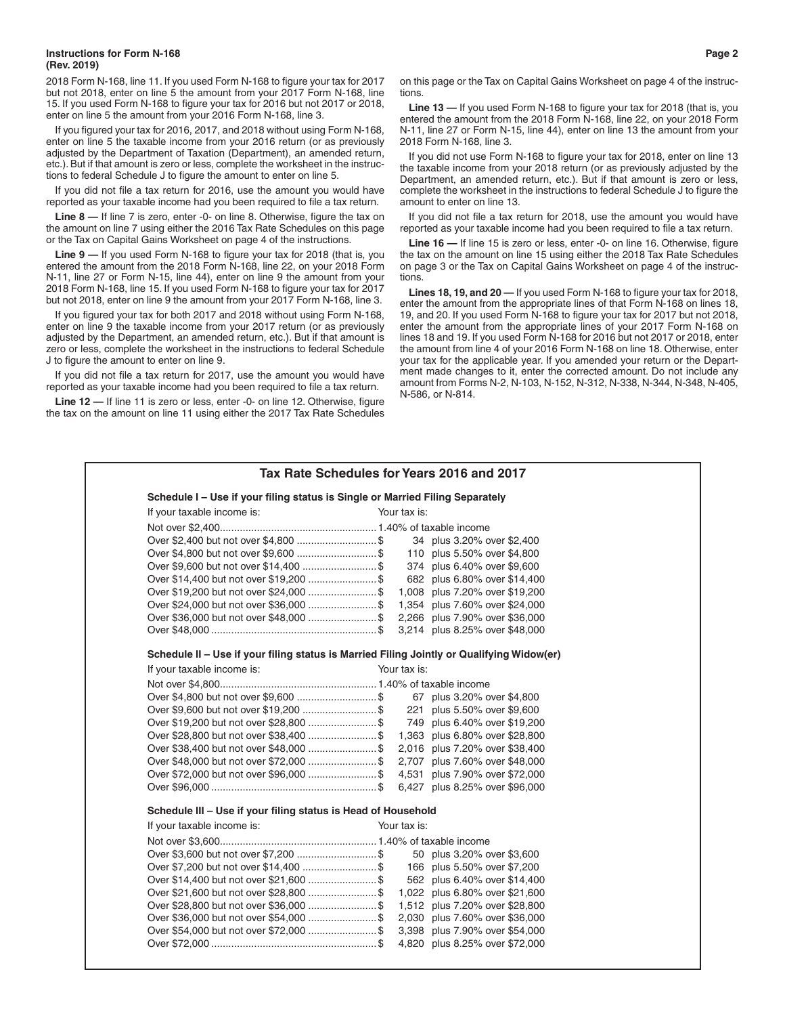#### **Instructions for Form N-168 Page 2 (Rev. 2019)**

2018 Form N-168, line 11. If you used Form N-168 to figure your tax for 2017 but not 2018, enter on line 5 the amount from your 2017 Form N-168, line 15. If you used Form N-168 to figure your tax for 2016 but not 2017 or 2018, enter on line 5 the amount from your 2016 Form N-168, line 3.

If you figured your tax for 2016, 2017, and 2018 without using Form N-168, enter on line 5 the taxable income from your 2016 return (or as previously adjusted by the Department of Taxation (Department), an amended return, etc.). But if that amount is zero or less, complete the worksheet in the instructions to federal Schedule J to figure the amount to enter on line 5.

If you did not file a tax return for 2016, use the amount you would have reported as your taxable income had you been required to file a tax return.

**Line 8 —** If line 7 is zero, enter -0- on line 8. Otherwise, figure the tax on the amount on line 7 using either the 2016 Tax Rate Schedules on this page or the Tax on Capital Gains Worksheet on page 4 of the instructions.

**Line 9 —** If you used Form N-168 to figure your tax for 2018 (that is, you entered the amount from the 2018 Form N-168, line 22, on your 2018 Form N-11, line 27 or Form N-15, line 44), enter on line 9 the amount from your 2018 Form N-168, line 15. If you used Form N-168 to figure your tax for 2017 but not 2018, enter on line 9 the amount from your 2017 Form N-168, line 3.

If you figured your tax for both 2017 and 2018 without using Form N-168, enter on line 9 the taxable income from your 2017 return (or as previously adjusted by the Department, an amended return, etc.). But if that amount is zero or less, complete the worksheet in the instructions to federal Schedule J to figure the amount to enter on line 9.

If you did not file a tax return for 2017, use the amount you would have reported as your taxable income had you been required to file a tax return.

**Line 12 —** If line 11 is zero or less, enter -0- on line 12. Otherwise, figure the tax on the amount on line 11 using either the 2017 Tax Rate Schedules on this page or the Tax on Capital Gains Worksheet on page 4 of the instructions.

**Line 13 —** If you used Form N-168 to figure your tax for 2018 (that is, you entered the amount from the 2018 Form N-168, line 22, on your 2018 Form N-11, line 27 or Form N-15, line 44), enter on line 13 the amount from your 2018 Form N-168, line 3.

If you did not use Form N-168 to figure your tax for 2018, enter on line 13 the taxable income from your 2018 return (or as previously adjusted by the Department, an amended return, etc.). But if that amount is zero or less, complete the worksheet in the instructions to federal Schedule J to figure the amount to enter on line 13.

If you did not file a tax return for 2018, use the amount you would have reported as your taxable income had you been required to file a tax return.

**Line 16 —** If line 15 is zero or less, enter -0- on line 16. Otherwise, figure the tax on the amount on line 15 using either the 2018 Tax Rate Schedules on page 3 or the Tax on Capital Gains Worksheet on page 4 of the instructions.

**Lines 18, 19, and 20 —** If you used Form N-168 to figure your tax for 2018, enter the amount from the appropriate lines of that Form N-168 on lines 18, 19, and 20. If you used Form N-168 to figure your tax for 2017 but not 2018, enter the amount from the appropriate lines of your 2017 Form N-168 on lines 18 and 19. If you used Form N-168 for 2016 but not 2017 or 2018, enter the amount from line 4 of your 2016 Form N-168 on line 18. Otherwise, enter your tax for the applicable year. If you amended your return or the Department made changes to it, enter the corrected amount. Do not include any amount from Forms N-2, N-103, N-152, N-312, N-338, N-344, N-348, N-405, N-586, or N-814.

| Tax Rate Schedules for Years 2016 and 2017                                                |  |              |                                |  |  |  |
|-------------------------------------------------------------------------------------------|--|--------------|--------------------------------|--|--|--|
| Schedule I - Use if your filing status is Single or Married Filing Separately             |  |              |                                |  |  |  |
| If your taxable income is:                                                                |  | Your tax is: |                                |  |  |  |
|                                                                                           |  |              |                                |  |  |  |
|                                                                                           |  |              | 34 plus 3.20% over \$2,400     |  |  |  |
|                                                                                           |  |              | 110 plus 5.50% over \$4,800    |  |  |  |
|                                                                                           |  |              | 374 plus 6.40% over \$9,600    |  |  |  |
|                                                                                           |  |              | 682 plus 6.80% over \$14,400   |  |  |  |
|                                                                                           |  |              | 1,008 plus 7.20% over \$19,200 |  |  |  |
|                                                                                           |  |              | 1,354 plus 7.60% over \$24,000 |  |  |  |
| Over \$36,000 but not over \$48,000  \$                                                   |  |              | 2,266 plus 7.90% over \$36,000 |  |  |  |
|                                                                                           |  |              | 3,214 plus 8.25% over \$48,000 |  |  |  |
| Schedule II - Use if your filing status is Married Filing Jointly or Qualifying Widow(er) |  |              |                                |  |  |  |
| If your taxable income is:                                                                |  | Your tax is: |                                |  |  |  |
|                                                                                           |  |              |                                |  |  |  |
|                                                                                           |  |              | 67 plus 3.20% over \$4,800     |  |  |  |
| Over \$9,600 but not over \$19,200  \$                                                    |  |              | 221 plus 5.50% over \$9,600    |  |  |  |
|                                                                                           |  |              | 749 plus 6.40% over \$19,200   |  |  |  |
|                                                                                           |  |              | 1,363 plus 6.80% over \$28,800 |  |  |  |
|                                                                                           |  |              | 2,016 plus 7.20% over \$38,400 |  |  |  |
|                                                                                           |  |              | 2,707 plus 7.60% over \$48,000 |  |  |  |
| Over \$72,000 but not over \$96,000  \$                                                   |  |              | 4,531 plus 7.90% over \$72,000 |  |  |  |
|                                                                                           |  |              | 6,427 plus 8.25% over \$96,000 |  |  |  |
| Schedule III - Use if your filing status is Head of Household                             |  |              |                                |  |  |  |
| If your taxable income is:                                                                |  | Your tax is: |                                |  |  |  |
|                                                                                           |  |              |                                |  |  |  |
|                                                                                           |  |              | 50 plus 3.20% over \$3,600     |  |  |  |
| Over \$7,200 but not over \$14,400 \$ 166 plus 5.50% over \$7,200                         |  |              |                                |  |  |  |
|                                                                                           |  |              | 562 plus 6.40% over \$14,400   |  |  |  |
| Over \$21,600 but not over \$28,800 \$ 1,022 plus 6,80% over \$21,600                     |  |              |                                |  |  |  |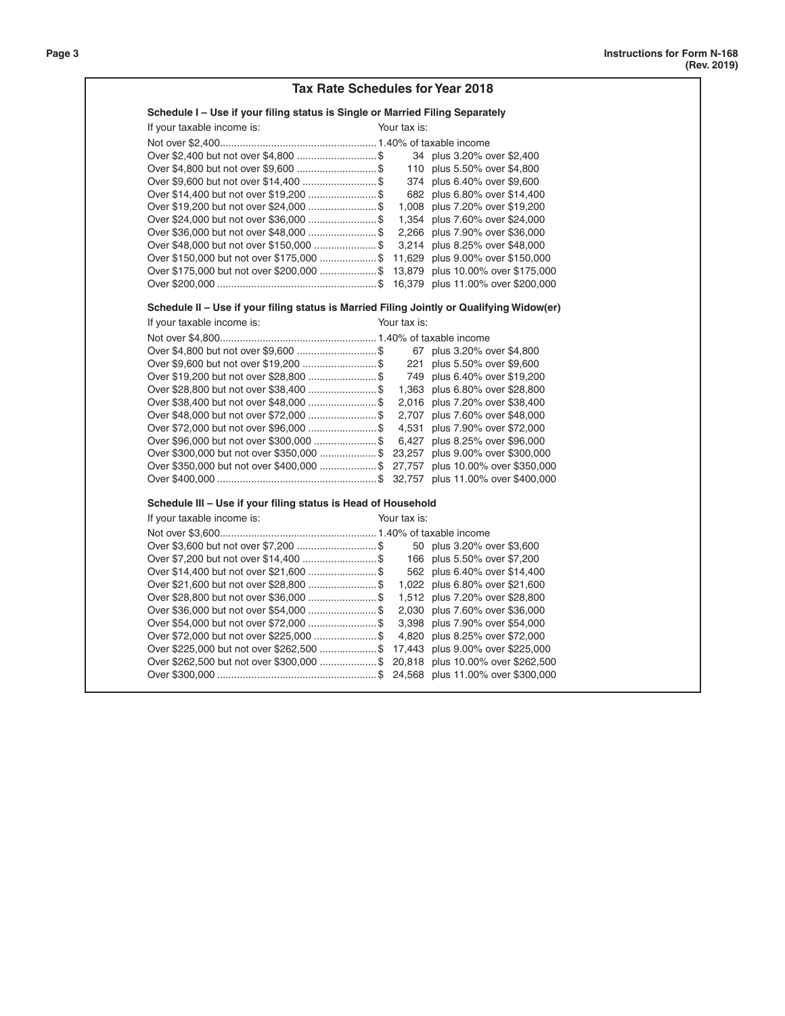|                                                                                                                                                          | <b>Tax Rate Schedules for Year 2018</b> |
|----------------------------------------------------------------------------------------------------------------------------------------------------------|-----------------------------------------|
| Schedule I - Use if your filing status is Single or Married Filing Separately                                                                            |                                         |
| If your taxable income is:                                                                                                                               | Your tax is:                            |
|                                                                                                                                                          |                                         |
|                                                                                                                                                          | 34 plus 3.20% over \$2,400              |
|                                                                                                                                                          | 110 plus 5.50% over \$4,800             |
|                                                                                                                                                          | 374 plus 6.40% over \$9,600             |
| Over \$14,400 but not over \$19,200  \$                                                                                                                  | 682 plus 6.80% over \$14,400            |
| Over \$19,200 but not over \$24,000 \$ 1,008 plus 7.20% over \$19,200                                                                                    |                                         |
| Over \$24,000 but not over \$36,000  \$ 1,354 plus 7.60% over \$24,000                                                                                   |                                         |
| Over \$36,000 but not over \$48,000 \$ 2,266 plus 7.90% over \$36,000                                                                                    |                                         |
| Over \$48,000 but not over \$150,000  \$ 3,214 plus 8.25% over \$48,000                                                                                  |                                         |
| Over \$150,000 but not over \$175,000 \$ 11,629 plus 9.00% over \$150,000                                                                                |                                         |
| Over \$175,000 but not over \$200,000  \$ 13,879 plus 10.00% over \$175,000                                                                              |                                         |
|                                                                                                                                                          |                                         |
| Schedule II - Use if your filing status is Married Filing Jointly or Qualifying Widow(er)                                                                |                                         |
| If your taxable income is:                                                                                                                               | Your tax is:                            |
|                                                                                                                                                          |                                         |
|                                                                                                                                                          | 67 plus 3.20% over \$4,800              |
| Over \$9,600 but not over \$19,200  \$                                                                                                                   | 221 plus 5.50% over \$9,600             |
| Over \$19,200 but not over \$28,800  \$                                                                                                                  | 749 plus 6.40% over \$19,200            |
| Over \$28,800 but not over \$38,400  \$ 1,363 plus 6.80% over \$28,800                                                                                   |                                         |
| Over \$38,400 but not over \$48,000  \$ 2,016 plus 7.20% over \$38,400                                                                                   |                                         |
| Over \$48,000 but not over \$72,000  \$ 2,707 plus 7.60% over \$48,000                                                                                   |                                         |
| Over \$72,000 but not over \$96,000 \$ 4,531 plus 7.90% over \$72,000                                                                                    |                                         |
| Over \$96,000 but not over \$300,000  \$ 6,427 plus 8.25% over \$96,000                                                                                  |                                         |
| Over \$300,000 but not over \$350,000  \$ 23,257 plus 9.00% over \$300,000                                                                               |                                         |
| Over \$350,000 but not over \$400,000  \$ 27,757 plus 10.00% over \$350,000                                                                              |                                         |
|                                                                                                                                                          |                                         |
| Schedule III - Use if your filing status is Head of Household                                                                                            |                                         |
| If your taxable income is:                                                                                                                               | Your tax is:                            |
|                                                                                                                                                          |                                         |
|                                                                                                                                                          | 50 plus 3.20% over \$3,600              |
|                                                                                                                                                          | 166 plus 5.50% over \$7,200             |
|                                                                                                                                                          |                                         |
| Over \$14,400 but not over \$21,600  \$                                                                                                                  | 562 plus 6.40% over \$14,400            |
|                                                                                                                                                          | 1,022 plus 6.80% over \$21,600          |
| Over \$28,800 but not over \$36,000  \$ 1,512 plus 7.20% over \$28,800                                                                                   |                                         |
| Over \$21,600 but not over \$28,800  \$<br>Over \$36,000 but not over \$54,000 \$ 2,030 plus 7.60% over \$36,000                                         |                                         |
| Over \$54,000 but not over \$72,000 \$ 3,398 plus 7.90% over \$54,000                                                                                    |                                         |
| Over \$72,000 but not over \$225,000 \$ 4,820 plus 8.25% over \$72,000                                                                                   |                                         |
|                                                                                                                                                          |                                         |
| Over \$225,000 but not over \$262,500 \$ 17,443 plus 9.00% over \$225,000<br>Over \$262,500 but not over \$300,000  \$ 20,818 plus 10.00% over \$262,500 |                                         |